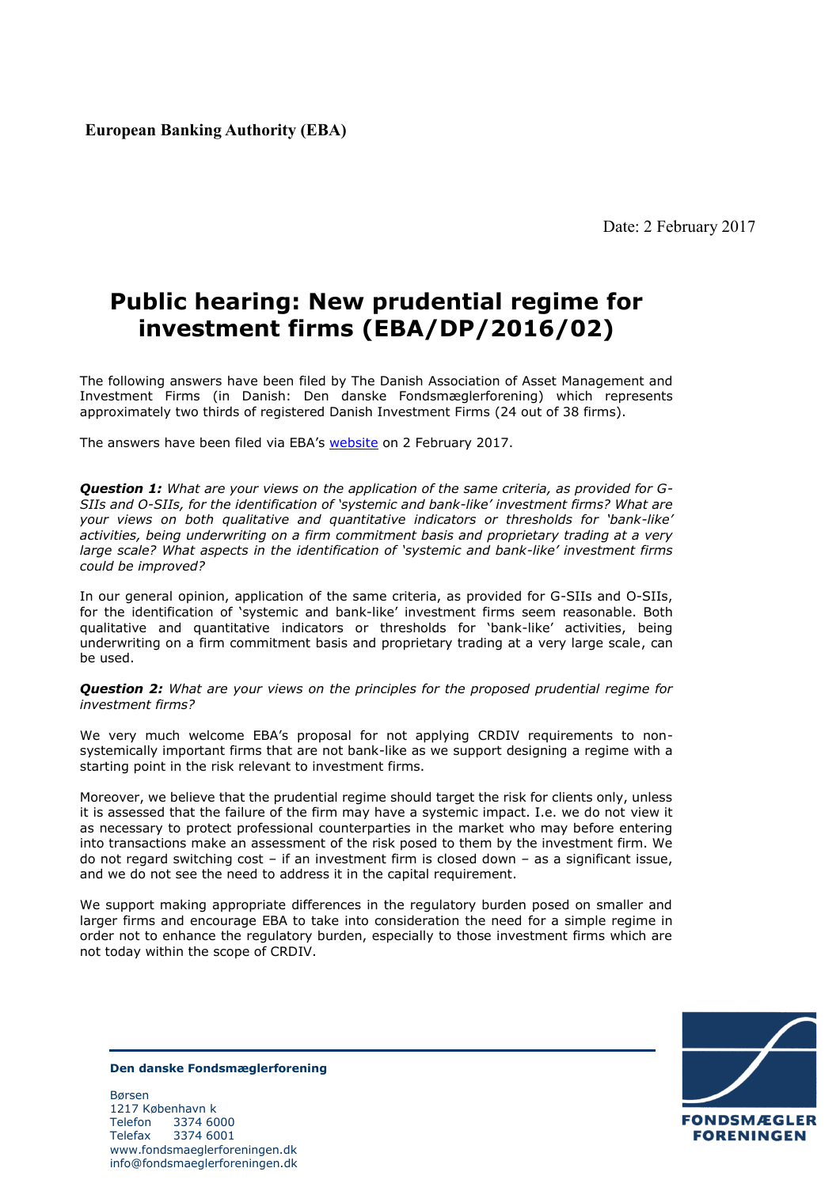**European Banking Authority (EBA)**

Date: 2 February 2017

## **Public hearing: New prudential regime for investment firms (EBA/DP/2016/02)**

The following answers have been filed by The Danish Association of Asset Management and Investment Firms (in Danish: Den danske Fondsmæglerforening) which represents approximately two thirds of registered Danish Investment Firms (24 out of 38 firms).

The answers have been filed via EBA's [website](http://www.eba.europa.eu/news-press/calendar?p_p_id=8&_8_struts_action=%2Fcalendar%2Fview_event&_8_eventId=1647440) on 2 February 2017.

*Question 1: What are your views on the application of the same criteria, as provided for G-SIIs and O-SIIs, for the identification of 'systemic and bank-like' investment firms? What are your views on both qualitative and quantitative indicators or thresholds for 'bank-like' activities, being underwriting on a firm commitment basis and proprietary trading at a very large scale? What aspects in the identification of 'systemic and bank-like' investment firms could be improved?* 

In our general opinion, application of the same criteria, as provided for G-SIIs and O-SIIs, for the identification of 'systemic and bank-like' investment firms seem reasonable. Both qualitative and quantitative indicators or thresholds for 'bank-like' activities, being underwriting on a firm commitment basis and proprietary trading at a very large scale, can be used.

*Question 2: What are your views on the principles for the proposed prudential regime for investment firms?* 

We very much welcome EBA's proposal for not applying CRDIV requirements to nonsystemically important firms that are not bank-like as we support designing a regime with a starting point in the risk relevant to investment firms.

Moreover, we believe that the prudential regime should target the risk for clients only, unless it is assessed that the failure of the firm may have a systemic impact. I.e. we do not view it as necessary to protect professional counterparties in the market who may before entering into transactions make an assessment of the risk posed to them by the investment firm. We do not regard switching cost – if an investment firm is closed down – as a significant issue, and we do not see the need to address it in the capital requirement.

We support making appropriate differences in the regulatory burden posed on smaller and larger firms and encourage EBA to take into consideration the need for a simple regime in order not to enhance the regulatory burden, especially to those investment firms which are not today within the scope of CRDIV.



**Den danske Fondsmæglerforening**

Børsen 1217 København k Telefon 3374 6000 Telefax 3374 6001 www.fondsmaeglerforeningen.dk info@fondsmaeglerforeningen.dk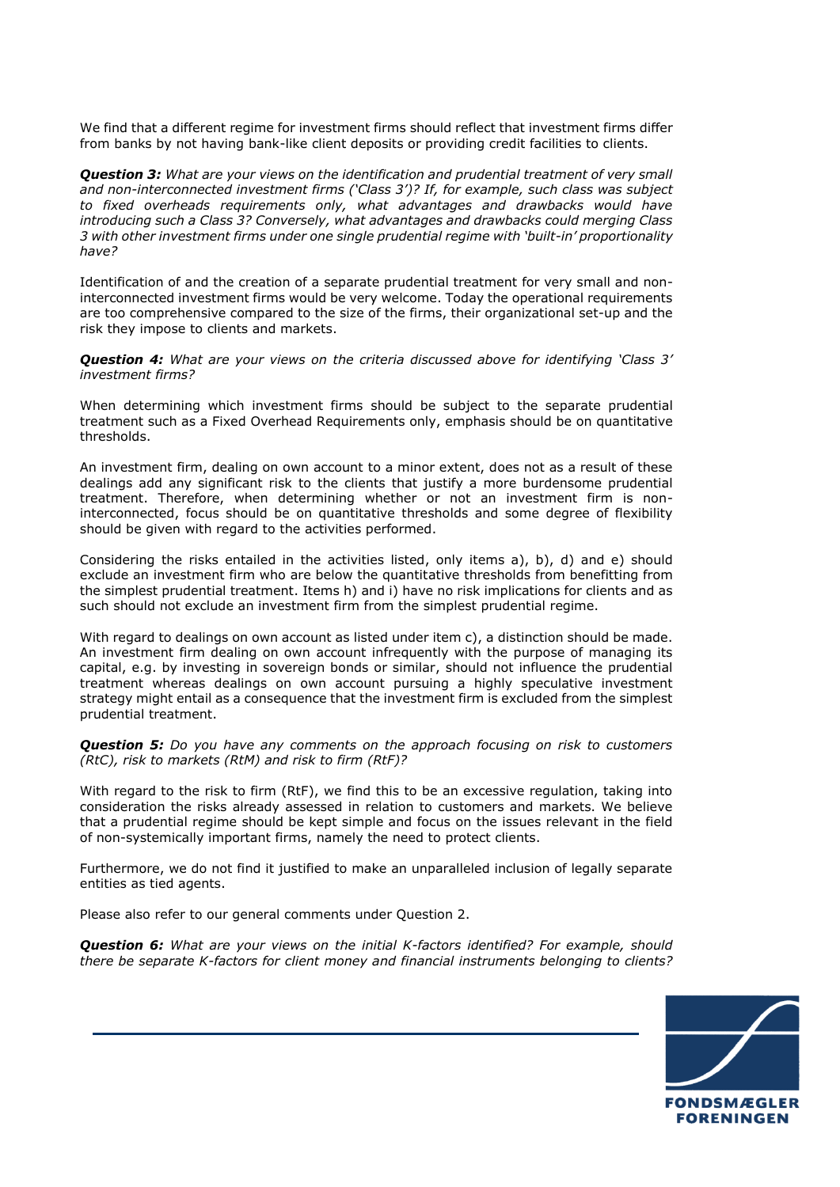We find that a different regime for investment firms should reflect that investment firms differ from banks by not having bank-like client deposits or providing credit facilities to clients.

*Question 3: What are your views on the identification and prudential treatment of very small and non-interconnected investment firms ('Class 3')? If, for example, such class was subject to fixed overheads requirements only, what advantages and drawbacks would have introducing such a Class 3? Conversely, what advantages and drawbacks could merging Class 3 with other investment firms under one single prudential regime with 'built-in' proportionality have?* 

Identification of and the creation of a separate prudential treatment for very small and noninterconnected investment firms would be very welcome. Today the operational requirements are too comprehensive compared to the size of the firms, their organizational set-up and the risk they impose to clients and markets.

*Question 4: What are your views on the criteria discussed above for identifying 'Class 3' investment firms?*

When determining which investment firms should be subject to the separate prudential treatment such as a Fixed Overhead Requirements only, emphasis should be on quantitative thresholds.

An investment firm, dealing on own account to a minor extent, does not as a result of these dealings add any significant risk to the clients that justify a more burdensome prudential treatment. Therefore, when determining whether or not an investment firm is noninterconnected, focus should be on quantitative thresholds and some degree of flexibility should be given with regard to the activities performed.

Considering the risks entailed in the activities listed, only items a), b), d) and e) should exclude an investment firm who are below the quantitative thresholds from benefitting from the simplest prudential treatment. Items h) and i) have no risk implications for clients and as such should not exclude an investment firm from the simplest prudential regime.

With regard to dealings on own account as listed under item c), a distinction should be made. An investment firm dealing on own account infrequently with the purpose of managing its capital, e.g. by investing in sovereign bonds or similar, should not influence the prudential treatment whereas dealings on own account pursuing a highly speculative investment strategy might entail as a consequence that the investment firm is excluded from the simplest prudential treatment.

*Question 5: Do you have any comments on the approach focusing on risk to customers (RtC), risk to markets (RtM) and risk to firm (RtF)?* 

With regard to the risk to firm (RtF), we find this to be an excessive regulation, taking into consideration the risks already assessed in relation to customers and markets. We believe that a prudential regime should be kept simple and focus on the issues relevant in the field of non-systemically important firms, namely the need to protect clients.

Furthermore, we do not find it justified to make an unparalleled inclusion of legally separate entities as tied agents.

Please also refer to our general comments under Question 2.

*Question 6: What are your views on the initial K-factors identified? For example, should there be separate K-factors for client money and financial instruments belonging to clients?* 

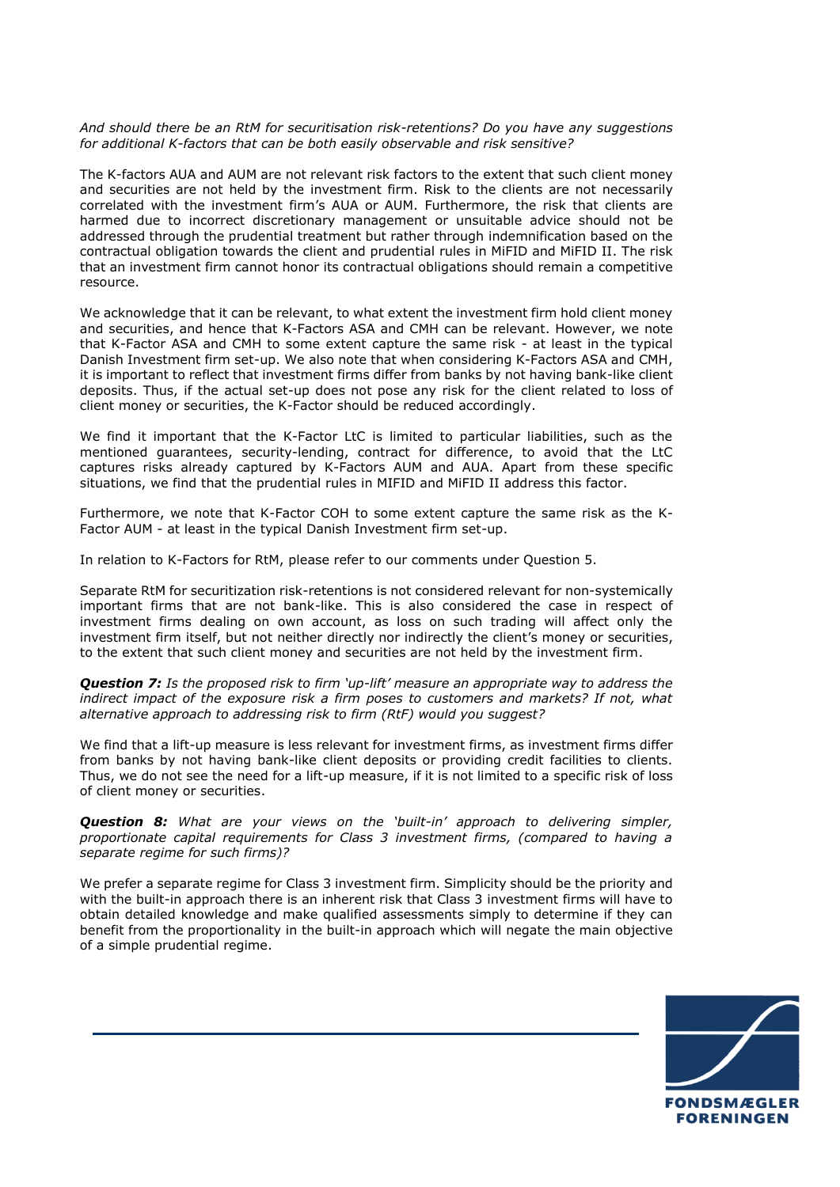## *And should there be an RtM for securitisation risk-retentions? Do you have any suggestions for additional K-factors that can be both easily observable and risk sensitive?*

The K-factors AUA and AUM are not relevant risk factors to the extent that such client money and securities are not held by the investment firm. Risk to the clients are not necessarily correlated with the investment firm's AUA or AUM. Furthermore, the risk that clients are harmed due to incorrect discretionary management or unsuitable advice should not be addressed through the prudential treatment but rather through indemnification based on the contractual obligation towards the client and prudential rules in MiFID and MiFID II. The risk that an investment firm cannot honor its contractual obligations should remain a competitive resource.

We acknowledge that it can be relevant, to what extent the investment firm hold client money and securities, and hence that K-Factors ASA and CMH can be relevant. However, we note that K-Factor ASA and CMH to some extent capture the same risk - at least in the typical Danish Investment firm set-up. We also note that when considering K-Factors ASA and CMH, it is important to reflect that investment firms differ from banks by not having bank-like client deposits. Thus, if the actual set-up does not pose any risk for the client related to loss of client money or securities, the K-Factor should be reduced accordingly.

We find it important that the K-Factor LtC is limited to particular liabilities, such as the mentioned guarantees, security-lending, contract for difference, to avoid that the LtC captures risks already captured by K-Factors AUM and AUA. Apart from these specific situations, we find that the prudential rules in MIFID and MiFID II address this factor.

Furthermore, we note that K-Factor COH to some extent capture the same risk as the K-Factor AUM - at least in the typical Danish Investment firm set-up.

In relation to K-Factors for RtM, please refer to our comments under Question 5.

Separate RtM for securitization risk-retentions is not considered relevant for non-systemically important firms that are not bank-like. This is also considered the case in respect of investment firms dealing on own account, as loss on such trading will affect only the investment firm itself, but not neither directly nor indirectly the client's money or securities, to the extent that such client money and securities are not held by the investment firm.

*Question 7: Is the proposed risk to firm 'up-lift' measure an appropriate way to address the*  indirect impact of the exposure risk a firm poses to customers and markets? If not, what *alternative approach to addressing risk to firm (RtF) would you suggest?* 

We find that a lift-up measure is less relevant for investment firms, as investment firms differ from banks by not having bank-like client deposits or providing credit facilities to clients. Thus, we do not see the need for a lift-up measure, if it is not limited to a specific risk of loss of client money or securities.

*Question 8: What are your views on the 'built-in' approach to delivering simpler, proportionate capital requirements for Class 3 investment firms, (compared to having a separate regime for such firms)?* 

We prefer a separate regime for Class 3 investment firm. Simplicity should be the priority and with the built-in approach there is an inherent risk that Class 3 investment firms will have to obtain detailed knowledge and make qualified assessments simply to determine if they can benefit from the proportionality in the built-in approach which will negate the main objective of a simple prudential regime.

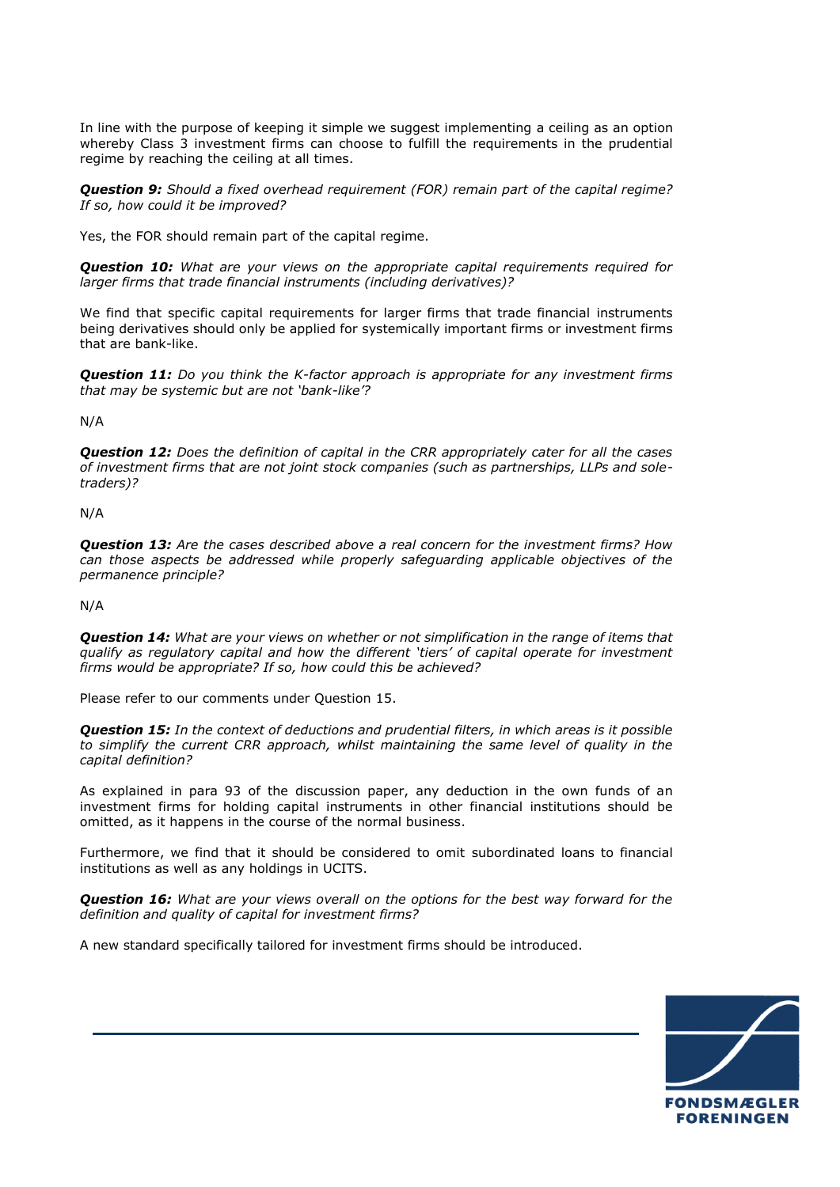In line with the purpose of keeping it simple we suggest implementing a ceiling as an option whereby Class 3 investment firms can choose to fulfill the requirements in the prudential regime by reaching the ceiling at all times.

*Question 9: Should a fixed overhead requirement (FOR) remain part of the capital regime? If so, how could it be improved?* 

Yes, the FOR should remain part of the capital regime.

*Question 10: What are your views on the appropriate capital requirements required for larger firms that trade financial instruments (including derivatives)?* 

We find that specific capital requirements for larger firms that trade financial instruments being derivatives should only be applied for systemically important firms or investment firms that are bank-like.

*Question 11: Do you think the K-factor approach is appropriate for any investment firms that may be systemic but are not 'bank-like'?* 

N/A

*Question 12: Does the definition of capital in the CRR appropriately cater for all the cases of investment firms that are not joint stock companies (such as partnerships, LLPs and soletraders)?* 

N/A

*Question 13: Are the cases described above a real concern for the investment firms? How can those aspects be addressed while properly safeguarding applicable objectives of the permanence principle?* 

N/A

*Question 14: What are your views on whether or not simplification in the range of items that qualify as regulatory capital and how the different 'tiers' of capital operate for investment firms would be appropriate? If so, how could this be achieved?* 

Please refer to our comments under Question 15.

*Question 15: In the context of deductions and prudential filters, in which areas is it possible to simplify the current CRR approach, whilst maintaining the same level of quality in the capital definition?* 

As explained in para 93 of the discussion paper, any deduction in the own funds of an investment firms for holding capital instruments in other financial institutions should be omitted, as it happens in the course of the normal business.

Furthermore, we find that it should be considered to omit subordinated loans to financial institutions as well as any holdings in UCITS.

*Question 16: What are your views overall on the options for the best way forward for the definition and quality of capital for investment firms?* 

A new standard specifically tailored for investment firms should be introduced.

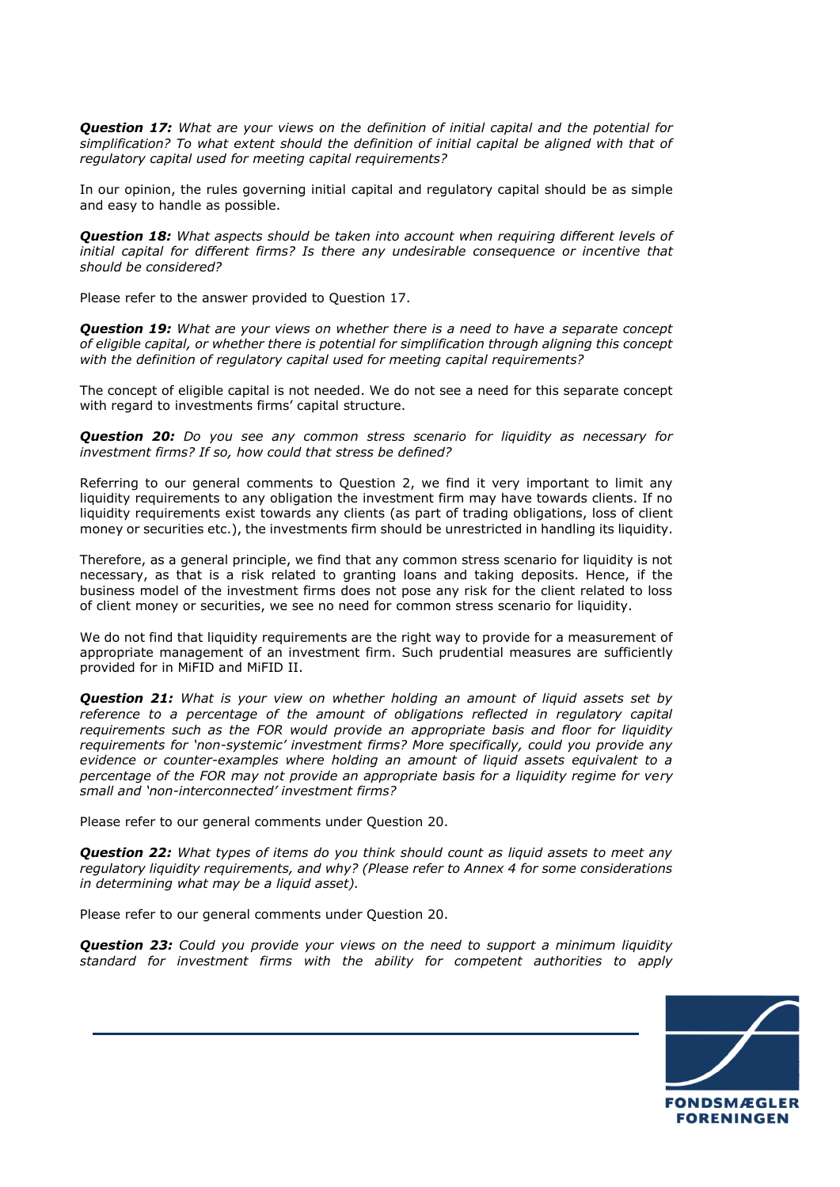*Question 17: What are your views on the definition of initial capital and the potential for simplification? To what extent should the definition of initial capital be aligned with that of regulatory capital used for meeting capital requirements?* 

In our opinion, the rules governing initial capital and regulatory capital should be as simple and easy to handle as possible.

*Question 18: What aspects should be taken into account when requiring different levels of initial capital for different firms? Is there any undesirable consequence or incentive that should be considered?* 

Please refer to the answer provided to Question 17.

*Question 19: What are your views on whether there is a need to have a separate concept of eligible capital, or whether there is potential for simplification through aligning this concept with the definition of regulatory capital used for meeting capital requirements?* 

The concept of eligible capital is not needed. We do not see a need for this separate concept with regard to investments firms' capital structure.

*Question 20: Do you see any common stress scenario for liquidity as necessary for investment firms? If so, how could that stress be defined?* 

Referring to our general comments to Question 2, we find it very important to limit any liquidity requirements to any obligation the investment firm may have towards clients. If no liquidity requirements exist towards any clients (as part of trading obligations, loss of client money or securities etc.), the investments firm should be unrestricted in handling its liquidity.

Therefore, as a general principle, we find that any common stress scenario for liquidity is not necessary, as that is a risk related to granting loans and taking deposits. Hence, if the business model of the investment firms does not pose any risk for the client related to loss of client money or securities, we see no need for common stress scenario for liquidity.

We do not find that liquidity requirements are the right way to provide for a measurement of appropriate management of an investment firm. Such prudential measures are sufficiently provided for in MiFID and MiFID II.

*Question 21: What is your view on whether holding an amount of liquid assets set by reference to a percentage of the amount of obligations reflected in regulatory capital requirements such as the FOR would provide an appropriate basis and floor for liquidity requirements for 'non-systemic' investment firms? More specifically, could you provide any evidence or counter-examples where holding an amount of liquid assets equivalent to a percentage of the FOR may not provide an appropriate basis for a liquidity regime for very small and 'non-interconnected' investment firms?* 

Please refer to our general comments under Question 20.

*Question 22: What types of items do you think should count as liquid assets to meet any regulatory liquidity requirements, and why? (Please refer to Annex 4 for some considerations in determining what may be a liquid asset).* 

Please refer to our general comments under Question 20.

*Question 23: Could you provide your views on the need to support a minimum liquidity standard for investment firms with the ability for competent authorities to apply* 

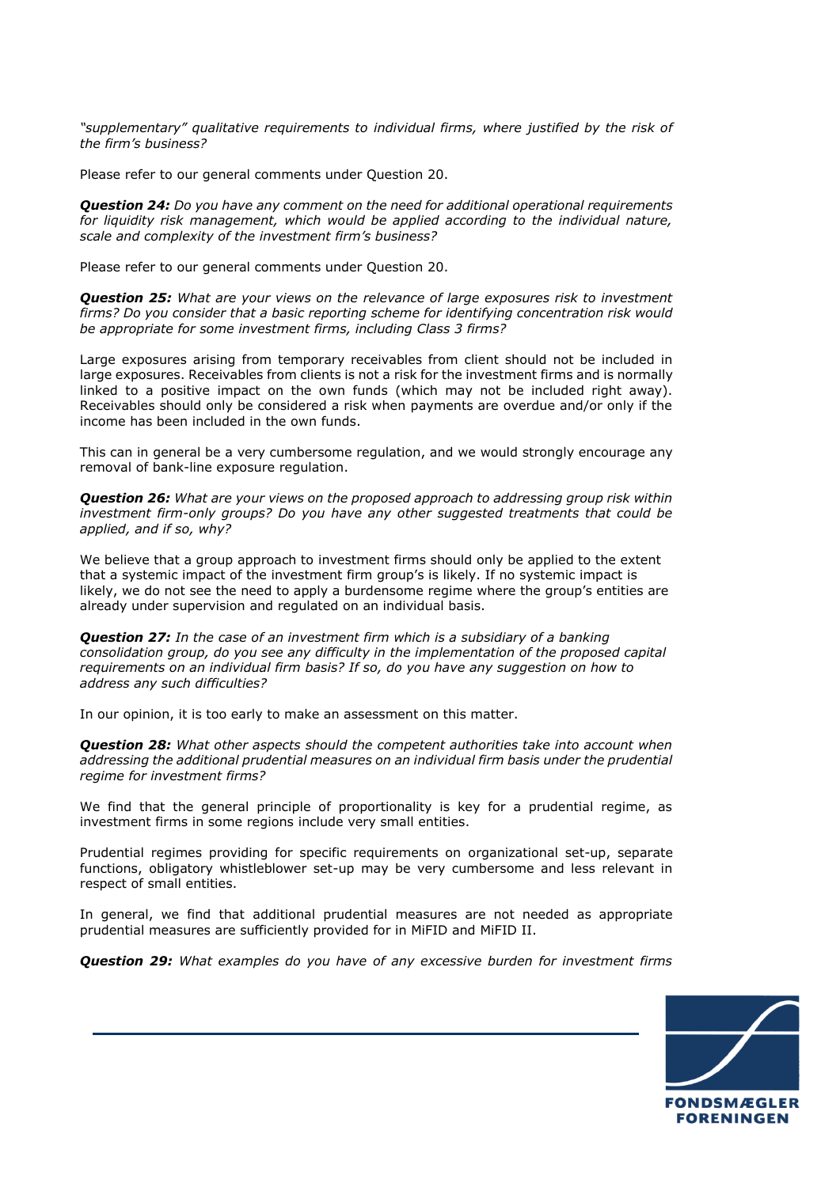*"supplementary" qualitative requirements to individual firms, where justified by the risk of the firm's business?* 

Please refer to our general comments under Question 20.

*Question 24: Do you have any comment on the need for additional operational requirements for liquidity risk management, which would be applied according to the individual nature, scale and complexity of the investment firm's business?* 

Please refer to our general comments under Question 20.

*Question 25: What are your views on the relevance of large exposures risk to investment firms? Do you consider that a basic reporting scheme for identifying concentration risk would be appropriate for some investment firms, including Class 3 firms?* 

Large exposures arising from temporary receivables from client should not be included in large exposures. Receivables from clients is not a risk for the investment firms and is normally linked to a positive impact on the own funds (which may not be included right away). Receivables should only be considered a risk when payments are overdue and/or only if the income has been included in the own funds.

This can in general be a very cumbersome regulation, and we would strongly encourage any removal of bank-line exposure regulation.

*Question 26: What are your views on the proposed approach to addressing group risk within investment firm-only groups? Do you have any other suggested treatments that could be applied, and if so, why?* 

We believe that a group approach to investment firms should only be applied to the extent that a systemic impact of the investment firm group's is likely. If no systemic impact is likely, we do not see the need to apply a burdensome regime where the group's entities are already under supervision and regulated on an individual basis.

*Question 27: In the case of an investment firm which is a subsidiary of a banking consolidation group, do you see any difficulty in the implementation of the proposed capital requirements on an individual firm basis? If so, do you have any suggestion on how to address any such difficulties?* 

In our opinion, it is too early to make an assessment on this matter.

*Question 28: What other aspects should the competent authorities take into account when addressing the additional prudential measures on an individual firm basis under the prudential regime for investment firms?* 

We find that the general principle of proportionality is key for a prudential regime, as investment firms in some regions include very small entities.

Prudential regimes providing for specific requirements on organizational set-up, separate functions, obligatory whistleblower set-up may be very cumbersome and less relevant in respect of small entities.

In general, we find that additional prudential measures are not needed as appropriate prudential measures are sufficiently provided for in MiFID and MiFID II.

*Question 29: What examples do you have of any excessive burden for investment firms* 

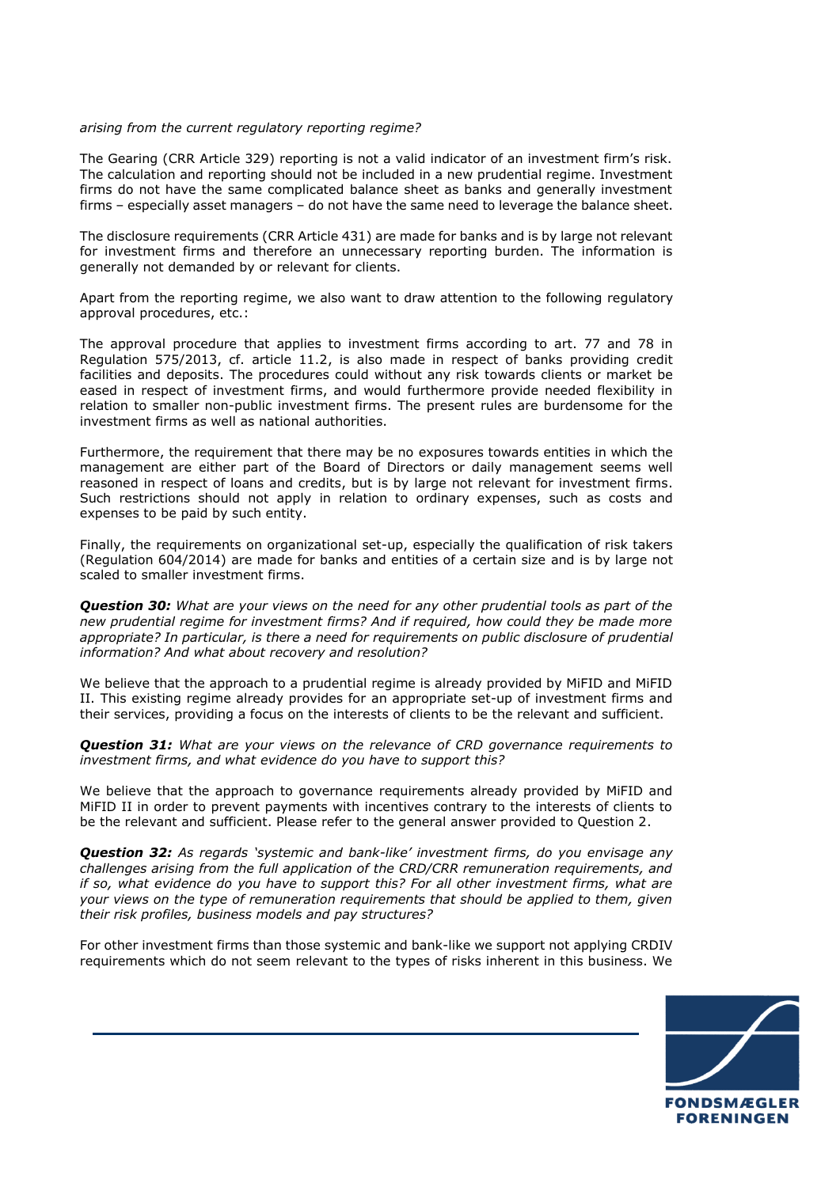## *arising from the current regulatory reporting regime?*

The Gearing (CRR Article 329) reporting is not a valid indicator of an investment firm's risk. The calculation and reporting should not be included in a new prudential regime. Investment firms do not have the same complicated balance sheet as banks and generally investment firms – especially asset managers – do not have the same need to leverage the balance sheet.

The disclosure requirements (CRR Article 431) are made for banks and is by large not relevant for investment firms and therefore an unnecessary reporting burden. The information is generally not demanded by or relevant for clients.

Apart from the reporting regime, we also want to draw attention to the following regulatory approval procedures, etc.:

The approval procedure that applies to investment firms according to art. 77 and 78 in Regulation 575/2013, cf. article 11.2, is also made in respect of banks providing credit facilities and deposits. The procedures could without any risk towards clients or market be eased in respect of investment firms, and would furthermore provide needed flexibility in relation to smaller non-public investment firms. The present rules are burdensome for the investment firms as well as national authorities.

Furthermore, the requirement that there may be no exposures towards entities in which the management are either part of the Board of Directors or daily management seems well reasoned in respect of loans and credits, but is by large not relevant for investment firms. Such restrictions should not apply in relation to ordinary expenses, such as costs and expenses to be paid by such entity.

Finally, the requirements on organizational set-up, especially the qualification of risk takers (Regulation 604/2014) are made for banks and entities of a certain size and is by large not scaled to smaller investment firms.

*Question 30: What are your views on the need for any other prudential tools as part of the new prudential regime for investment firms? And if required, how could they be made more appropriate? In particular, is there a need for requirements on public disclosure of prudential information? And what about recovery and resolution?* 

We believe that the approach to a prudential regime is already provided by MiFID and MiFID II. This existing regime already provides for an appropriate set-up of investment firms and their services, providing a focus on the interests of clients to be the relevant and sufficient.

*Question 31: What are your views on the relevance of CRD governance requirements to investment firms, and what evidence do you have to support this?* 

We believe that the approach to governance requirements already provided by MiFID and MiFID II in order to prevent payments with incentives contrary to the interests of clients to be the relevant and sufficient. Please refer to the general answer provided to Question 2.

*Question 32: As regards 'systemic and bank-like' investment firms, do you envisage any challenges arising from the full application of the CRD/CRR remuneration requirements, and if so, what evidence do you have to support this? For all other investment firms, what are your views on the type of remuneration requirements that should be applied to them, given their risk profiles, business models and pay structures?* 

For other investment firms than those systemic and bank-like we support not applying CRDIV requirements which do not seem relevant to the types of risks inherent in this business. We